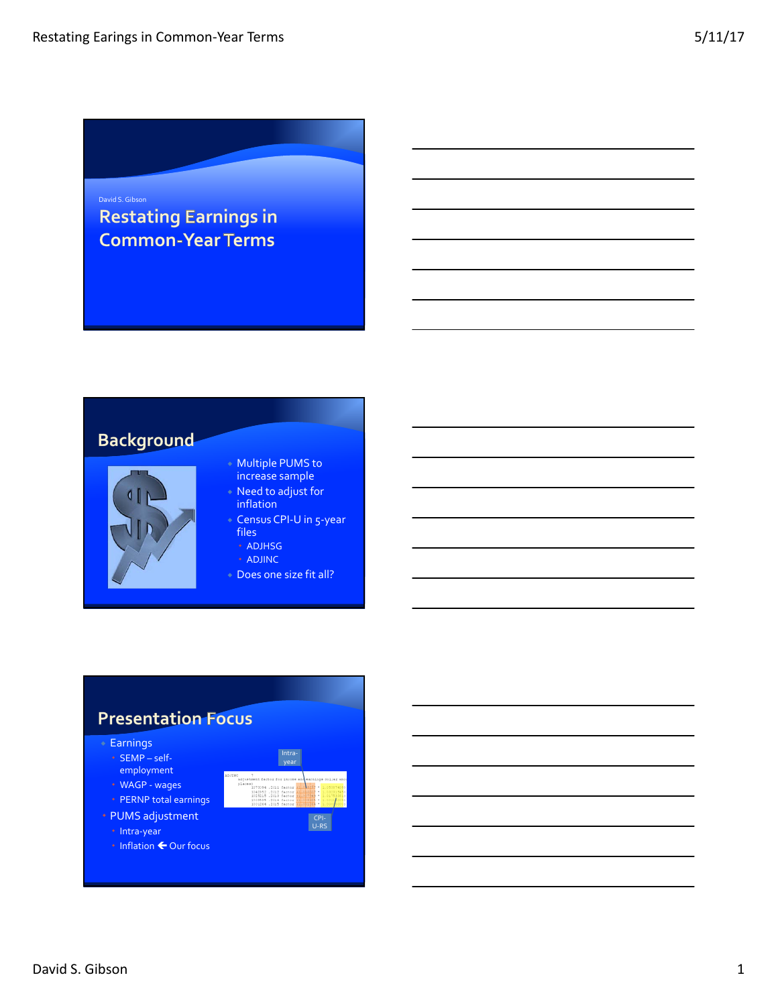# David S. Gibson<br>Restating Earnings in **Common-Year Terms**

### **Background**



#### Multiple PUMS to increase sample

- Need to adjust for inflation
- Census CPI-U in 5-year files
	- ADJHSG
	- ADJINC
- Does one size fit all?

### **Presentation Focus**



 $\cdot$  Inflation  $\leftarrow$  Our focus

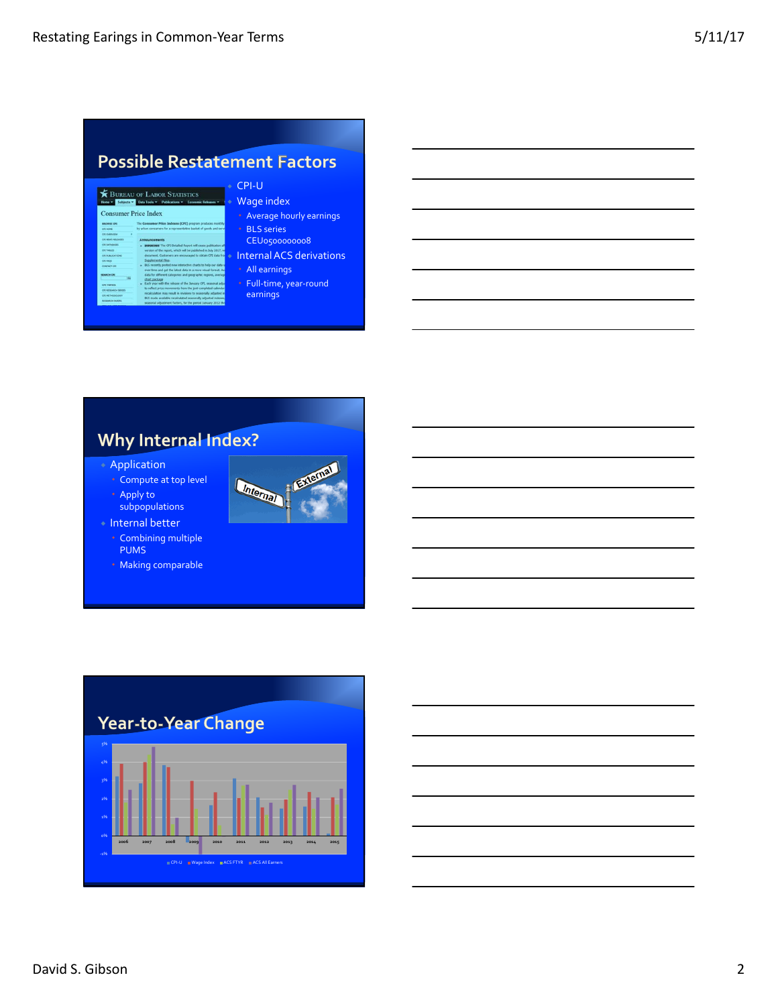|                                           | <b>Possible Restatement Factors</b>                                                                                                                                                               |                                      |  |  |  |  |  |  |
|-------------------------------------------|---------------------------------------------------------------------------------------------------------------------------------------------------------------------------------------------------|--------------------------------------|--|--|--|--|--|--|
|                                           |                                                                                                                                                                                                   | CPI-U                                |  |  |  |  |  |  |
|                                           | BUREAU OF LABOR STATISTICS<br>Subjects v Data Tools v Publications v Economic Releases v                                                                                                          | <b>Wage index</b>                    |  |  |  |  |  |  |
|                                           |                                                                                                                                                                                                   |                                      |  |  |  |  |  |  |
|                                           | <b>Consumer Price Index</b>                                                                                                                                                                       | • Average hourly earnings            |  |  |  |  |  |  |
| <b>BROWNE CPS</b>                         | The Consumer Price Indexes (CPI) program produces monthly                                                                                                                                         |                                      |  |  |  |  |  |  |
| <b>OTHONE</b>                             | by urban consumers for a representative basket of goods and servi-                                                                                                                                | • BLS series                         |  |  |  |  |  |  |
| OT OVERVIEW<br><b>PRESIDENT AIR AWARD</b> |                                                                                                                                                                                                   |                                      |  |  |  |  |  |  |
| Of DATABASES                              | Announcements<br>» IMPORTANT The CFI Detailed Report will cease publication aft                                                                                                                   | CEU0500000008                        |  |  |  |  |  |  |
| <b>CIT TAILES</b>                         | version of the report, which will be published in July 2017, we                                                                                                                                   |                                      |  |  |  |  |  |  |
| Of INBURATIONS                            | document. Customers are encouraged to obtain CPI data from                                                                                                                                        | <b>Internal ACS derivations</b><br>٠ |  |  |  |  |  |  |
| <b>CELEAGE</b>                            | Supplemental Files.                                                                                                                                                                               |                                      |  |  |  |  |  |  |
| <b>CONTACT CRE</b><br><b>SEARCH CPL</b>   | » ELS recently posted new interactive charts to help our data u<br>over time and get the latest data in a more visual format. As<br>data for different categories and geographic regions, average | All earnings                         |  |  |  |  |  |  |

 Full‐time, year‐round earnings

## Why Internal Index?

 Application Compute at top level Apply to

subpopulations



 Internal better Combining multiple PUMS Making comparable

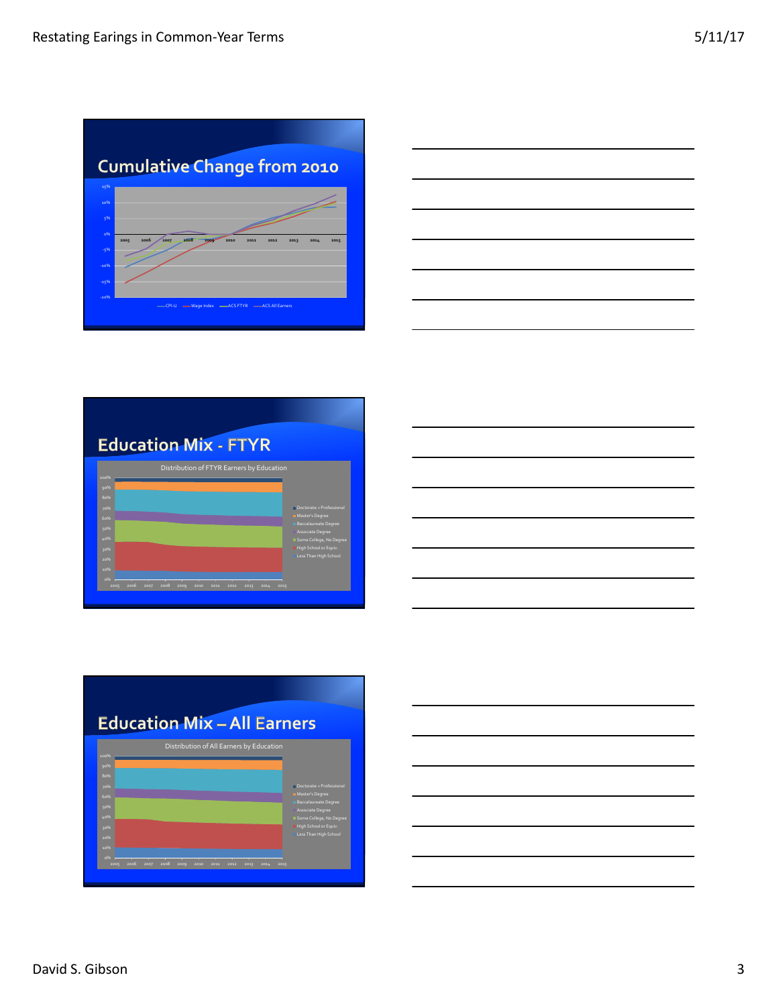|               | <b>Cumulative Change from 2010</b>                                   |      |
|---------------|----------------------------------------------------------------------|------|
| 15%           |                                                                      |      |
| 10%           |                                                                      |      |
| 596           |                                                                      |      |
| 0%            |                                                                      |      |
| 2005<br>$-5%$ | 2008<br>2006<br>2007<br>2009<br>2010<br>2011<br>2012<br>2013<br>2014 | 2015 |
| $-1096$       |                                                                      |      |
| $-1596$       |                                                                      |      |
| $-20%$        |                                                                      |      |









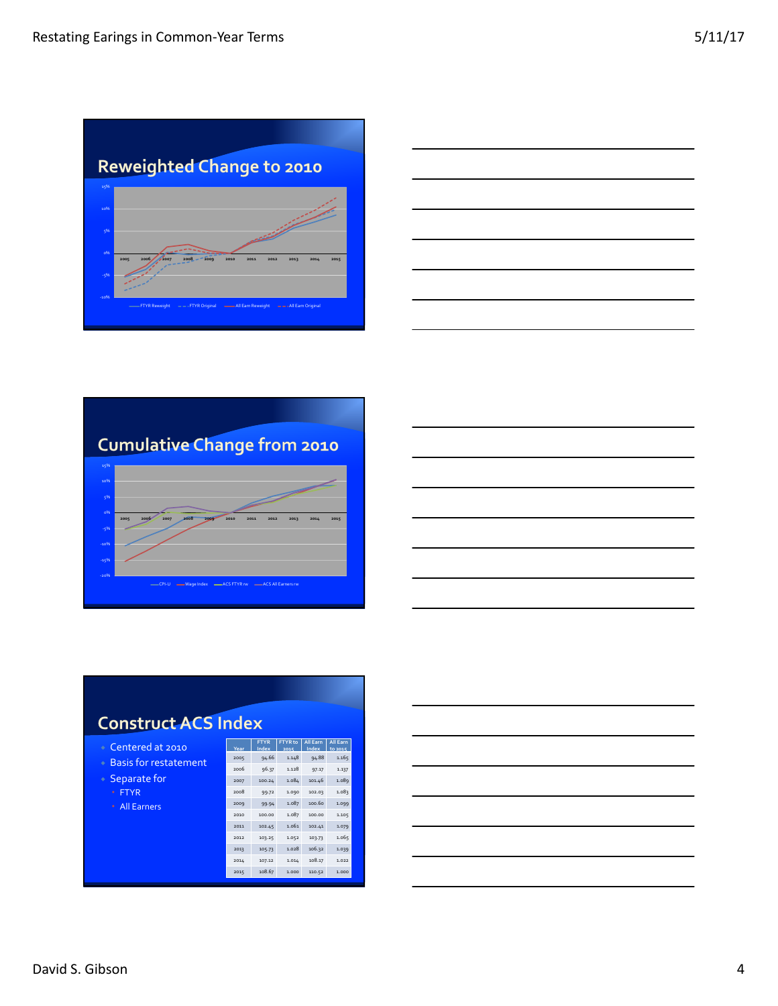





| <b>Construct ACS Index</b>        |      |                      |                        |                          |                     |  |  |  |
|-----------------------------------|------|----------------------|------------------------|--------------------------|---------------------|--|--|--|
| Centered at 2010<br>÷             | Year | <b>FTYR</b><br>Index | <b>FTYR</b> to<br>2015 | <b>All Earn</b><br>Index | All Earn<br>to 2015 |  |  |  |
| <b>Basis for restatement</b><br>٠ | 2005 | 94.66                | 1.148                  | 94.88                    | 1.165               |  |  |  |
|                                   | 2006 | 96.37                | 1.128                  | 97.17                    | 1.137               |  |  |  |
| Separate for<br>۰                 | 2007 | 100.24               | 1.084                  | 101.46                   | 1.089               |  |  |  |
| <b>ETYR</b><br>$\ddot{\Phi}$      | 2008 | 99.72                | 1.090                  | 102.03                   | 1.083               |  |  |  |
| <b>All Earners</b><br>ó           | 2009 | 99.94                | 1.087                  | 100.60                   | 1.099               |  |  |  |
|                                   | 2010 | 100.00               | 1.087                  | 100.00                   | 1.105               |  |  |  |
|                                   | 2011 | 102.45               | 1.061                  | 102.41                   | 1.079               |  |  |  |
|                                   | 2012 | 103.25               | 1.052                  | 103.73                   | 1.065               |  |  |  |
|                                   | 2013 | 105.73               | 1.028                  | 106.32                   | 1.039               |  |  |  |
|                                   | 2014 | 107.12               | 1.014                  | 108.17                   | 1.022               |  |  |  |
|                                   | 2015 | 108.67               | 1.000                  | 110.52                   | 1.000               |  |  |  |